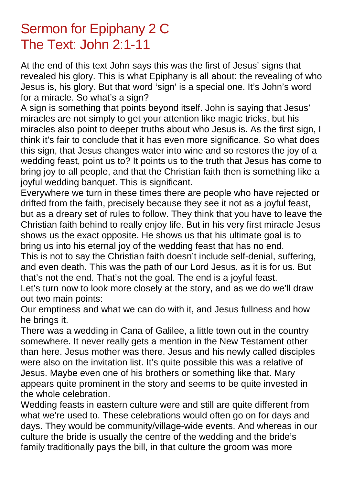## Sermon for Epiphany 2 C The Text: John 2:1-11

At the end of this text John says this was the first of Jesus' signs that revealed his glory. This is what Epiphany is all about: the revealing of who Jesus is, his glory. But that word 'sign' is a special one. It's John's word for a miracle. So what's a sign?

A sign is something that points beyond itself. John is saying that Jesus' miracles are not simply to get your attention like magic tricks, but his miracles also point to deeper truths about who Jesus is. As the first sign, I think it's fair to conclude that it has even more significance. So what does this sign, that Jesus changes water into wine and so restores the joy of a wedding feast, point us to? It points us to the truth that Jesus has come to bring joy to all people, and that the Christian faith then is something like a joyful wedding banquet. This is significant.

Everywhere we turn in these times there are people who have rejected or drifted from the faith, precisely because they see it not as a joyful feast, but as a dreary set of rules to follow. They think that you have to leave the Christian faith behind to really enjoy life. But in his very first miracle Jesus shows us the exact opposite. He shows us that his ultimate goal is to bring us into his eternal joy of the wedding feast that has no end.

This is not to say the Christian faith doesn't include self-denial, suffering, and even death. This was the path of our Lord Jesus, as it is for us. But that's not the end. That's not the goal. The end is a joyful feast.

Let's turn now to look more closely at the story, and as we do we'll draw out two main points:

Our emptiness and what we can do with it, and Jesus fullness and how he brings it.

There was a wedding in Cana of Galilee, a little town out in the country somewhere. It never really gets a mention in the New Testament other than here. Jesus mother was there. Jesus and his newly called disciples were also on the invitation list. It's quite possible this was a relative of Jesus. Maybe even one of his brothers or something like that. Mary appears quite prominent in the story and seems to be quite invested in the whole celebration.

Wedding feasts in eastern culture were and still are quite different from what we're used to. These celebrations would often go on for days and days. They would be community/village-wide events. And whereas in our culture the bride is usually the centre of the wedding and the bride's family traditionally pays the bill, in that culture the groom was more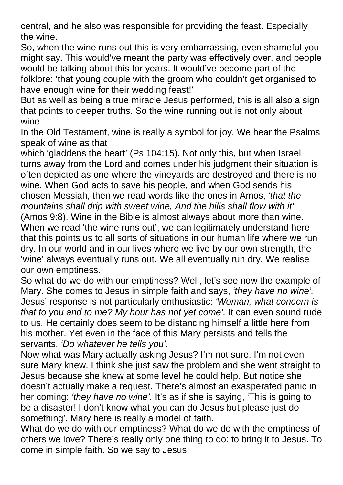central, and he also was responsible for providing the feast. Especially the wine.

So, when the wine runs out this is very embarrassing, even shameful you might say. This would've meant the party was effectively over, and people would be talking about this for years. It would've become part of the folklore: 'that young couple with the groom who couldn't get organised to have enough wine for their wedding feast!'

But as well as being a true miracle Jesus performed, this is all also a sign that points to deeper truths. So the wine running out is not only about wine.

In the Old Testament, wine is really a symbol for joy. We hear the Psalms speak of wine as that

which 'gladdens the heart' (Ps 104:15). Not only this, but when Israel turns away from the Lord and comes under his judgment their situation is often depicted as one where the vineyards are destroyed and there is no wine. When God acts to save his people, and when God sends his chosen Messiah, then we read words like the ones in Amos, *'that the mountains shall drip with sweet wine, And the hills shall flow with it'* (Amos 9:8). Wine in the Bible is almost always about more than wine. When we read 'the wine runs out', we can legitimately understand here that this points us to all sorts of situations in our human life where we run dry. In our world and in our lives where we live by our own strength, the 'wine' always eventually runs out. We all eventually run dry. We realise our own emptiness.

So what do we do with our emptiness? Well, let's see now the example of Mary. She comes to Jesus in simple faith and says, *'they have no wine'.*  Jesus' response is not particularly enthusiastic: *'Woman, what concern is that to you and to me? My hour has not yet come'.* It can even sound rude to us. He certainly does seem to be distancing himself a little here from his mother. Yet even in the face of this Mary persists and tells the servants, *'Do whatever he tells you'.* 

Now what was Mary actually asking Jesus? I'm not sure. I'm not even sure Mary knew. I think she just saw the problem and she went straight to Jesus because she knew at some level he could help. But notice she doesn't actually make a request. There's almost an exasperated panic in her coming: *'they have no wine'.* It's as if she is saying, 'This is going to be a disaster! I don't know what you can do Jesus but please just do something'. Mary here is really a model of faith.

What do we do with our emptiness? What do we do with the emptiness of others we love? There's really only one thing to do: to bring it to Jesus. To come in simple faith. So we say to Jesus: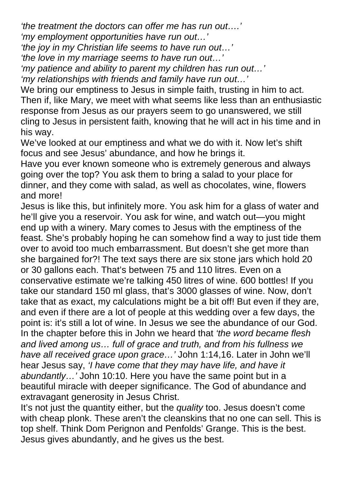*'the treatment the doctors can offer me has run out….' 'my employment opportunities have run out…'* 

*'the joy in my Christian life seems to have run out…'* 

*'the love in my marriage seems to have run out…'* 

*'my patience and ability to parent my children has run out…'* 

*'my relationships with friends and family have run out…'* 

We bring our emptiness to Jesus in simple faith, trusting in him to act. Then if, like Mary, we meet with what seems like less than an enthusiastic response from Jesus as our prayers seem to go unanswered, we still cling to Jesus in persistent faith, knowing that he will act in his time and in his way.

We've looked at our emptiness and what we do with it. Now let's shift focus and see Jesus' abundance, and how he brings it.

Have you ever known someone who is extremely generous and always going over the top? You ask them to bring a salad to your place for dinner, and they come with salad, as well as chocolates, wine, flowers and more!

Jesus is like this, but infinitely more. You ask him for a glass of water and he'll give you a reservoir. You ask for wine, and watch out—you might end up with a winery. Mary comes to Jesus with the emptiness of the feast. She's probably hoping he can somehow find a way to just tide them over to avoid too much embarrassment. But doesn't she get more than she bargained for?! The text says there are six stone jars which hold 20 or 30 gallons each. That's between 75 and 110 litres. Even on a conservative estimate we're talking 450 litres of wine. 600 bottles! If you take our standard 150 ml glass, that's 3000 glasses of wine. Now, don't take that as exact, my calculations might be a bit off! But even if they are, and even if there are a lot of people at this wedding over a few days, the point is: it's still a lot of wine. In Jesus we see the abundance of our God. In the chapter before this in John we heard that *'the word became flesh and lived among us… full of grace and truth, and from his fullness we have all received grace upon grace…'* John 1:14,16. Later in John we'll hear Jesus say, *'I have come that they may have life, and have it abundantly…'* John 10:10. Here you have the same point but in a beautiful miracle with deeper significance. The God of abundance and extravagant generosity in Jesus Christ.

It's not just the quantity either, but the *quality* too. Jesus doesn't come with cheap plonk. These aren't the cleanskins that no one can sell. This is top shelf. Think Dom Perignon and Penfolds' Grange. This is the best. Jesus gives abundantly, and he gives us the best.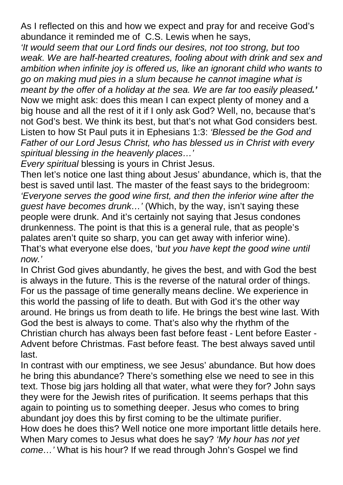As I reflected on this and how we expect and pray for and receive God's abundance it reminded me of C.S. Lewis when he says,

*'It would seem that our Lord finds our desires, not too strong, but too weak. We are half-hearted creatures, fooling about with drink and sex and ambition when infinite joy is offered us, like an ignorant child who wants to go on making mud pies in a slum because he cannot imagine what is meant by the offer of a holiday at the sea. We are far too easily pleased.'*  Now we might ask: does this mean I can expect plenty of money and a big house and all the rest of it if I only ask God? Well, no, because that's not God's best. We think its best, but that's not what God considers best. Listen to how St Paul puts it in Ephesians 1:3: *'Blessed be the God and Father of our Lord Jesus Christ, who has blessed us in Christ with every spiritual blessing in the heavenly places…'*

*Every spiritual* blessing is yours in Christ Jesus.

Then let's notice one last thing about Jesus' abundance, which is, that the best is saved until last. The master of the feast says to the bridegroom: *'Everyone serves the good wine first, and then the inferior wine after the guest have becomes drunk…'* (Which, by the way, isn't saying these people were drunk. And it's certainly not saying that Jesus condones drunkenness. The point is that this is a general rule, that as people's palates aren't quite so sharp, you can get away with inferior wine). That's what everyone else does, 'b*ut you have kept the good wine until now.'*

In Christ God gives abundantly, he gives the best, and with God the best is always in the future. This is the reverse of the natural order of things. For us the passage of time generally means decline. We experience in this world the passing of life to death. But with God it's the other way around. He brings us from death to life. He brings the best wine last. With God the best is always to come. That's also why the rhythm of the Christian church has always been fast before feast - Lent before Easter - Advent before Christmas. Fast before feast. The best always saved until last.

In contrast with our emptiness, we see Jesus' abundance. But how does he bring this abundance? There's something else we need to see in this text. Those big jars holding all that water, what were they for? John says they were for the Jewish rites of purification. It seems perhaps that this again to pointing us to something deeper. Jesus who comes to bring abundant joy does this by first coming to be the ultimate purifier. How does he does this? Well notice one more important little details here. When Mary comes to Jesus what does he say? *'My hour has not yet come…'* What is his hour? If we read through John's Gospel we find